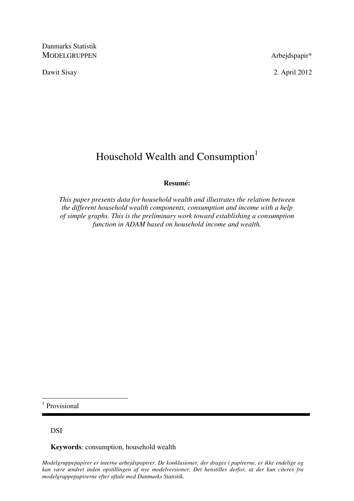Danmarks Statistik MODELGRUPPEN Arbejdspapir\*

Dawit Sisay 2. April 2012

# Household Wealth and Consumption<sup>1</sup>

# **Resumé:**

*This paper presents data for household wealth and illustrates the relation between the different household wealth components, consumption and income with a help of simple graphs. This is the preliminary work toward establishing a consumption function in ADAM based on household income and wealth.* 

1 Provisional

 $\overline{a}$ 

DSI

**Keywords**: consumption, household wealth

*Modelgruppepapirer er interne arbejdspapirer. De konklusioner, der drages i papirerne, er ikke endelige og kan være ændret inden opstillingen af nye modelversioner. Det henstilles derfor, at der kun citeres fra modelgruppepapirerne efter aftale med Danmarks Statistik.*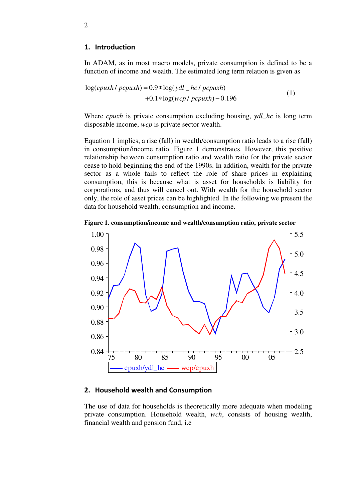### 1. Introduction

In ADAM, as in most macro models, private consumption is defined to be a function of income and wealth. The estimated long term relation is given as

$$
log(cpuxh / pcpuxh) = 0.9 * log(ydl \_hc / pcpuxh)
$$
  
+0.1 \* log(wcp / pcpuxh) - 0.196 (1)

Where *cpuxh* is private consumption excluding housing, *ydl\_hc* is long term disposable income, *wcp* is private sector wealth.

Equation 1 implies, a rise (fall) in wealth/consumption ratio leads to a rise (fall) in consumption/income ratio. Figure 1 demonstrates. However, this positive relationship between consumption ratio and wealth ratio for the private sector cease to hold beginning the end of the 1990s. In addition, wealth for the private sector as a whole fails to reflect the role of share prices in explaining consumption, this is because what is asset for households is liability for corporations, and thus will cancel out. With wealth for the household sector only, the role of asset prices can be highlighted. In the following we present the data for household wealth, consumption and income.





# 2. Household wealth and Consumption

The use of data for households is theoretically more adequate when modeling private consumption. Household wealth, *wch*, consists of housing wealth, financial wealth and pension fund, i.e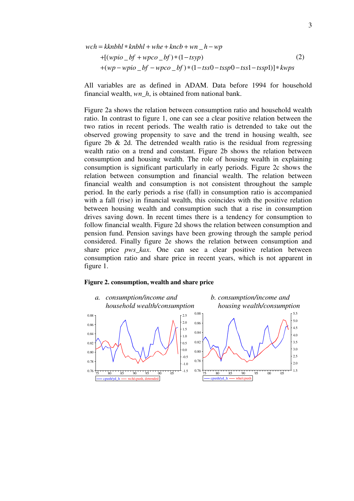$$
wch = kknbhl * knbhl + whe + kncb + wn_h - -wp
$$
  
+[(wpio\_bf + wpco\_bf) \* (1 - tsyp)  
+(wp - wpio\_bf - wpco\_bf) \* (1 - tss0 - tssp0 - tssp1 - tssp1)] \* kwps

All variables are as defined in ADAM. Data before 1994 for household financial wealth, *wn\_h*, is obtained from national bank.

Figure 2a shows the relation between consumption ratio and household wealth ratio. In contrast to figure 1, one can see a clear positive relation between the two ratios in recent periods. The wealth ratio is detrended to take out the observed growing propensity to save and the trend in housing wealth, see figure 2b  $\&$  2d. The detrended wealth ratio is the residual from regressing wealth ratio on a trend and constant. Figure 2b shows the relation between consumption and housing wealth. The role of housing wealth in explaining consumption is significant particularly in early periods. Figure 2c shows the relation between consumption and financial wealth. The relation between financial wealth and consumption is not consistent throughout the sample period. In the early periods a rise (fall) in consumption ratio is accompanied with a fall (rise) in financial wealth, this coincides with the positive relation between housing wealth and consumption such that a rise in consumption drives saving down. In recent times there is a tendency for consumption to follow financial wealth. Figure 2d shows the relation between consumption and pension fund. Pension savings have been growing through the sample period considered. Finally figure 2e shows the relation between consumption and share price *pws\_kax*. One can see a clear positive relation between consumption ratio and share price in recent years, which is not apparent in figure 1.

#### **Figure 2. consumption, wealth and share price**